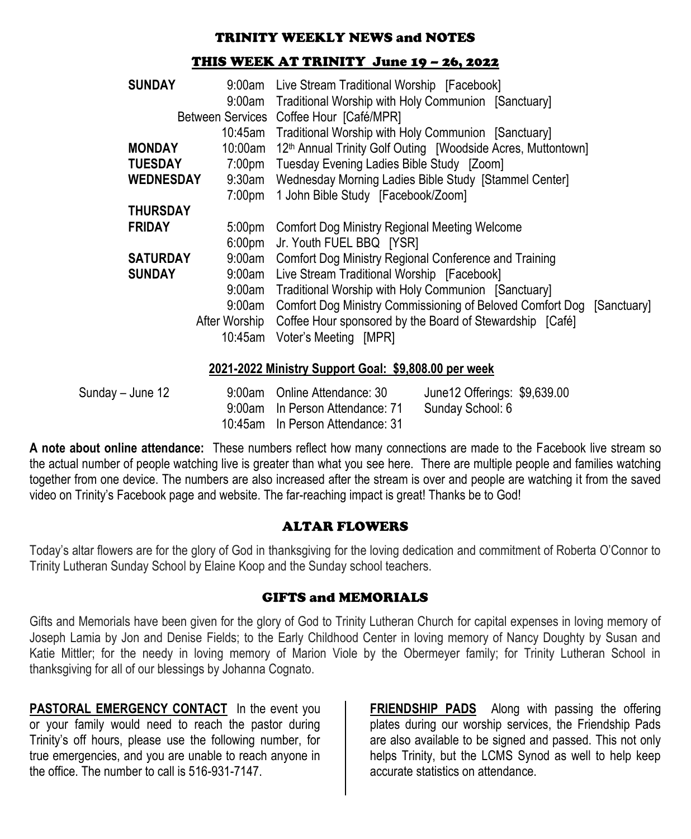#### TRINITY WEEKLY NEWS and NOTES

#### THIS WEEK AT TRINITY June 19 – 26, 2022

| <b>SUNDAY</b>    |           | 9:00am Live Stream Traditional Worship [Facebook]                                |             |
|------------------|-----------|----------------------------------------------------------------------------------|-------------|
|                  |           | 9:00am Traditional Worship with Holy Communion [Sanctuary]                       |             |
|                  |           | Between Services Coffee Hour [Café/MPR]                                          |             |
|                  |           | 10:45am Traditional Worship with Holy Communion [Sanctuary]                      |             |
| <b>MONDAY</b>    |           | 10:00am 12 <sup>th</sup> Annual Trinity Golf Outing [Woodside Acres, Muttontown] |             |
| <b>TUESDAY</b>   |           | 7:00pm Tuesday Evening Ladies Bible Study [Zoom]                                 |             |
| <b>WEDNESDAY</b> |           | 9:30am Wednesday Morning Ladies Bible Study [Stammel Center]                     |             |
|                  |           | 7:00pm 1 John Bible Study [Facebook/Zoom]                                        |             |
| <b>THURSDAY</b>  |           |                                                                                  |             |
| <b>FRIDAY</b>    |           | 5:00pm Comfort Dog Ministry Regional Meeting Welcome                             |             |
|                  | $6:00$ pm | Jr. Youth FUEL BBQ [YSR]                                                         |             |
| <b>SATURDAY</b>  |           | 9:00am Comfort Dog Ministry Regional Conference and Training                     |             |
| <b>SUNDAY</b>    |           | 9:00am Live Stream Traditional Worship [Facebook]                                |             |
|                  |           | 9:00am Traditional Worship with Holy Communion [Sanctuary]                       |             |
| 9:00am           |           | Comfort Dog Ministry Commissioning of Beloved Comfort Dog                        | [Sanctuary] |
|                  |           | After Worship Coffee Hour sponsored by the Board of Stewardship [Café]           |             |
|                  |           | 10:45am Voter's Meeting [MPR]                                                    |             |
|                  |           |                                                                                  |             |

#### **2021-2022 Ministry Support Goal: \$9,808.00 per week**

| Sunday – June 12 | 9:00am Online Attendance: 30     | June 12 Offerings: \$9,639.00 |
|------------------|----------------------------------|-------------------------------|
|                  | 9:00am In Person Attendance: 71  | Sunday School: 6              |
|                  | 10:45am In Person Attendance: 31 |                               |

**A note about online attendance:** These numbers reflect how many connections are made to the Facebook live stream so the actual number of people watching live is greater than what you see here. There are multiple people and families watching together from one device. The numbers are also increased after the stream is over and people are watching it from the saved video on Trinity's Facebook page and website. The far-reaching impact is great! Thanks be to God!

## ALTAR FLOWERS

Today's altar flowers are for the glory of God in thanksgiving for the loving dedication and commitment of Roberta O'Connor to Trinity Lutheran Sunday School by Elaine Koop and the Sunday school teachers.

## GIFTS and MEMORIALS

Gifts and Memorials have been given for the glory of God to Trinity Lutheran Church for capital expenses in loving memory of Joseph Lamia by Jon and Denise Fields; to the Early Childhood Center in loving memory of Nancy Doughty by Susan and Katie Mittler; for the needy in loving memory of Marion Viole by the Obermeyer family; for Trinity Lutheran School in thanksgiving for all of our blessings by Johanna Cognato.

**PASTORAL EMERGENCY CONTACT** In the event you or your family would need to reach the pastor during Trinity's off hours, please use the following number, for true emergencies, and you are unable to reach anyone in the office. The number to call is 516-931-7147.

**FRIENDSHIP PADS** Along with passing the offering plates during our worship services, the Friendship Pads are also available to be signed and passed. This not only helps Trinity, but the LCMS Synod as well to help keep accurate statistics on attendance.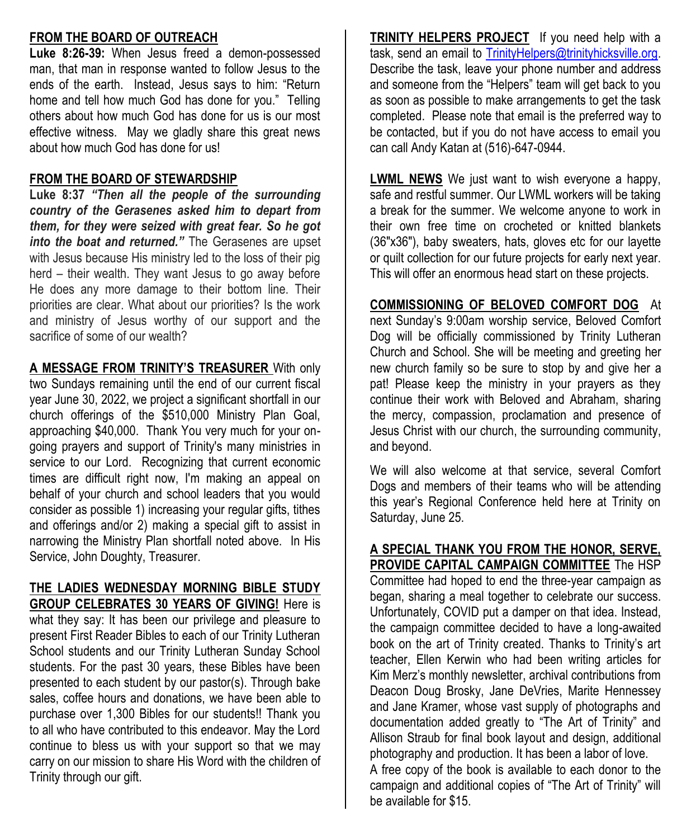## **FROM THE BOARD OF OUTREACH**

**Luke 8:26-39:** When Jesus freed a demon-possessed man, that man in response wanted to follow Jesus to the ends of the earth. Instead, Jesus says to him: "Return home and tell how much God has done for you." Telling others about how much God has done for us is our most effective witness. May we gladly share this great news about how much God has done for us!

#### **FROM THE BOARD OF STEWARDSHIP**

**Luke 8:37** *"Then all the people of the surrounding country of the Gerasenes asked him to depart from them, for they were seized with great fear. So he got into the boat and returned."* The Gerasenes are upset with Jesus because His ministry led to the loss of their pig herd – their wealth. They want Jesus to go away before He does any more damage to their bottom line. Their priorities are clear. What about our priorities? Is the work and ministry of Jesus worthy of our support and the sacrifice of some of our wealth?

**A MESSAGE FROM TRINITY'S TREASURER** With only two Sundays remaining until the end of our current fiscal year June 30, 2022, we project a significant shortfall in our church offerings of the \$510,000 Ministry Plan Goal, approaching \$40,000. Thank You very much for your ongoing prayers and support of Trinity's many ministries in service to our Lord. Recognizing that current economic times are difficult right now, I'm making an appeal on behalf of your church and school leaders that you would consider as possible 1) increasing your regular gifts, tithes and offerings and/or 2) making a special gift to assist in narrowing the Ministry Plan shortfall noted above. In His Service, John Doughty, Treasurer.

# **THE LADIES WEDNESDAY MORNING BIBLE STUDY**

**GROUP CELEBRATES 30 YEARS OF GIVING!** Here is what they say: It has been our privilege and pleasure to present First Reader Bibles to each of our Trinity Lutheran School students and our Trinity Lutheran Sunday School students. For the past 30 years, these Bibles have been presented to each student by our pastor(s). Through bake sales, coffee hours and donations, we have been able to purchase over 1,300 Bibles for our students!! Thank you to all who have contributed to this endeavor. May the Lord continue to bless us with your support so that we may carry on our mission to share His Word with the children of Trinity through our gift.

**TRINITY HELPERS PROJECT** If you need help with a task, send an email to [TrinityHelpers@trinityhicksville.org.](../../2021/Blurbs/TrinityHelpers@trinityhicksville.org) Describe the task, leave your phone number and address and someone from the "Helpers" team will get back to you as soon as possible to make arrangements to get the task completed. Please note that email is the preferred way to be contacted, but if you do not have access to email you can call Andy Katan at (516)-647-0944.

**LWML NEWS** We just want to wish everyone a happy, safe and restful summer. Our LWML workers will be taking a break for the summer. We welcome anyone to work in their own free time on crocheted or knitted blankets (36"x36"), baby sweaters, hats, gloves etc for our layette or quilt collection for our future projects for early next year. This will offer an enormous head start on these projects.

**COMMISSIONING OF BELOVED COMFORT DOG** At next Sunday's 9:00am worship service, Beloved Comfort

Dog will be officially commissioned by Trinity Lutheran Church and School. She will be meeting and greeting her new church family so be sure to stop by and give her a pat! Please keep the ministry in your prayers as they continue their work with Beloved and Abraham, sharing the mercy, compassion, proclamation and presence of Jesus Christ with our church, the surrounding community, and beyond.

We will also welcome at that service, several Comfort Dogs and members of their teams who will be attending this year's Regional Conference held here at Trinity on Saturday, June 25.

**A SPECIAL THANK YOU FROM THE HONOR, SERVE, PROVIDE CAPITAL CAMPAIGN COMMITTEE** The HSP Committee had hoped to end the three-year campaign as began, sharing a meal together to celebrate our success. Unfortunately, COVID put a damper on that idea. Instead, the campaign committee decided to have a long-awaited book on the art of Trinity created. Thanks to Trinity's art teacher, Ellen Kerwin who had been writing articles for Kim Merz's monthly newsletter, archival contributions from Deacon Doug Brosky, Jane DeVries, Marite Hennessey and Jane Kramer, whose vast supply of photographs and documentation added greatly to "The Art of Trinity" and Allison Straub for final book layout and design, additional photography and production. It has been a labor of love. A free copy of the book is available to each donor to the campaign and additional copies of "The Art of Trinity" will be available for \$15.